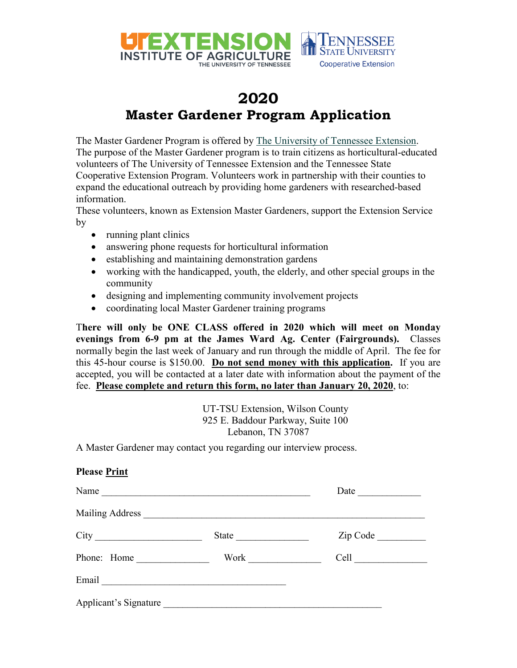

## **2020 Master Gardener Program Application**

The Master Gardener Program is offered by [The University of Tennessee Extension.](http://extension.tennessee.edu/) The purpose of the Master Gardener program is to train citizens as horticultural-educated volunteers of The University of Tennessee Extension and the Tennessee State Cooperative Extension Program. Volunteers work in partnership with their counties to expand the educational outreach by providing home gardeners with researched-based information.

These volunteers, known as Extension Master Gardeners, support the Extension Service by

- running plant clinics
- answering phone requests for horticultural information
- establishing and maintaining demonstration gardens
- working with the handicapped, youth, the elderly, and other special groups in the community
- designing and implementing community involvement projects
- coordinating local Master Gardener training programs

T**here will only be ONE CLASS offered in 2020 which will meet on Monday evenings from 6-9 pm at the James Ward Ag. Center (Fairgrounds).** Classes normally begin the last week of January and run through the middle of April. The fee for this 45-hour course is \$150.00. **Do not send money with this application.** If you are accepted, you will be contacted at a later date with information about the payment of the fee. **Please complete and return this form, no later than January 20, 2020**, to:

> UT-TSU Extension, Wilson County 925 E. Baddour Parkway, Suite 100 Lebanon, TN 37087

A Master Gardener may contact you regarding our interview process.

| <b>Please Print</b> |          |
|---------------------|----------|
| Name                | Date     |
|                     |          |
|                     | Zip Code |
| Phone: Home         |          |
|                     |          |
|                     |          |